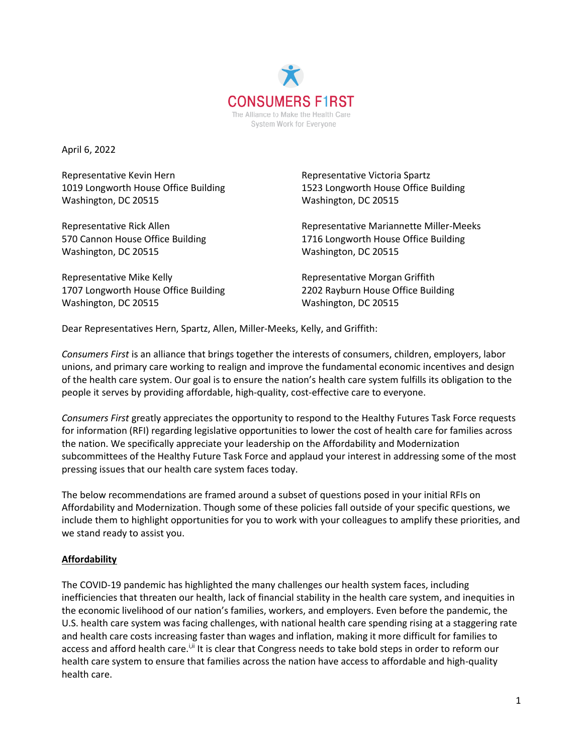

April 6, 2022

Representative Kevin Hern **Representative Victoria Spartz** Washington, DC 20515 Washington, DC 20515

Washington, DC 20515 Washington, DC 20515

Representative Mike Kelly **Representative Morgan Griffith** 1707 Longworth House Office Building 2202 Rayburn House Office Building Washington, DC 20515 Washington, DC 20515

1019 Longworth House Office Building 1523 Longworth House Office Building

Representative Rick Allen Representative Mariannette Miller-Meeks 570 Cannon House Office Building 1716 Longworth House Office Building

Dear Representatives Hern, Spartz, Allen, Miller-Meeks, Kelly, and Griffith:

*Consumers First* is an alliance that brings together the interests of consumers, children, employers, labor unions, and primary care working to realign and improve the fundamental economic incentives and design of the health care system. Our goal is to ensure the nation's health care system fulfills its obligation to the people it serves by providing affordable, high-quality, cost-effective care to everyone.

*Consumers First* greatly appreciates the opportunity to respond to the Healthy Futures Task Force requests for information (RFI) regarding legislative opportunities to lower the cost of health care for families across the nation. We specifically appreciate your leadership on the Affordability and Modernization subcommittees of the Healthy Future Task Force and applaud your interest in addressing some of the most pressing issues that our health care system faces today.

The below recommendations are framed around a subset of questions posed in your initial RFIs on Affordability and Modernization. Though some of these policies fall outside of your specific questions, we include them to highlight opportunities for you to work with your colleagues to amplify these priorities, and we stand ready to assist you.

#### **Affordability**

The COVID-19 pandemic has highlighted the many challenges our health system faces, including inefficiencies that threaten our health, lack of financial stability in the health care system, and inequities in the economic livelihood of our nation's families, workers, and employers. Even before the pandemic, the U.S. health care system was facing challenges, with national health care spending rising at a staggering rate and health care costs increasing faster than wages and inflation, making it more difficult for families to access and afford health care.<sup>i,ii</sup> It is clear that Congress needs to take bold steps in order to reform our health care system to ensure that families across the nation have access to affordable and high-quality health care.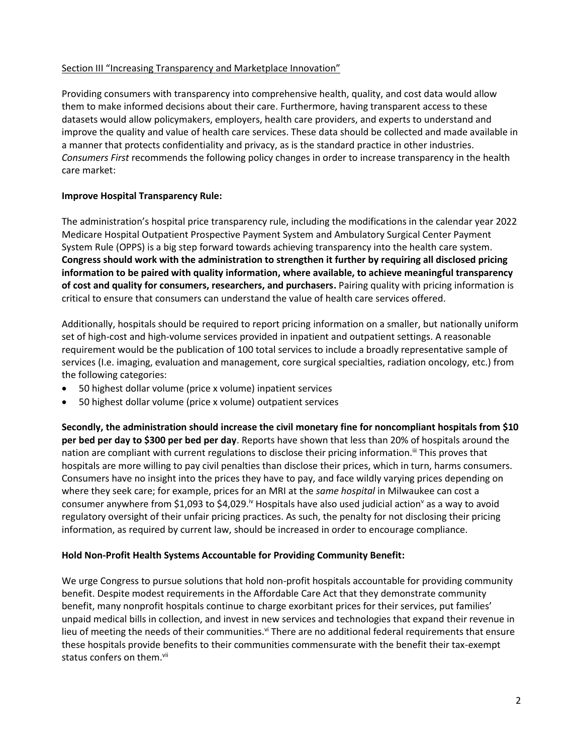## Section III "Increasing Transparency and Marketplace Innovation"

Providing consumers with transparency into comprehensive health, quality, and cost data would allow them to make informed decisions about their care. Furthermore, having transparent access to these datasets would allow policymakers, employers, health care providers, and experts to understand and improve the quality and value of health care services. These data should be collected and made available in a manner that protects confidentiality and privacy, as is the standard practice in other industries. *Consumers First* recommends the following policy changes in order to increase transparency in the health care market:

## **Improve Hospital Transparency Rule:**

The administration's hospital price transparency rule, including the modifications in the calendar year 2022 Medicare Hospital Outpatient Prospective Payment System and Ambulatory Surgical Center Payment System Rule (OPPS) is a big step forward towards achieving transparency into the health care system. **Congress should work with the administration to strengthen it further by requiring all disclosed pricing information to be paired with quality information, where available, to achieve meaningful transparency of cost and quality for consumers, researchers, and purchasers.** Pairing quality with pricing information is critical to ensure that consumers can understand the value of health care services offered.

Additionally, hospitals should be required to report pricing information on a smaller, but nationally uniform set of high-cost and high-volume services provided in inpatient and outpatient settings. A reasonable requirement would be the publication of 100 total services to include a broadly representative sample of services (I.e. imaging, evaluation and management, core surgical specialties, radiation oncology, etc.) from the following categories:

- 50 highest dollar volume (price x volume) inpatient services
- 50 highest dollar volume (price x volume) outpatient services

**Secondly, the administration should increase the civil monetary fine for noncompliant hospitals from \$10 per bed per day to \$300 per bed per day**. Reports have shown that less than 20% of hospitals around the nation are compliant with current regulations to disclose their pricing information.<sup>iii</sup> This proves that hospitals are more willing to pay civil penalties than disclose their prices, which in turn, harms consumers. Consumers have no insight into the prices they have to pay, and face wildly varying prices depending on where they seek care; for example, prices for an MRI at the *same hospital* in Milwaukee can cost a consumer anywhere from \$1,093 to \$4,029.<sup>iv</sup> Hospitals have also used judicial action<sup>v</sup> as a way to avoid regulatory oversight of their unfair pricing practices. As such, the penalty for not disclosing their pricing information, as required by current law, should be increased in order to encourage compliance.

#### **Hold Non-Profit Health Systems Accountable for Providing Community Benefit:**

We urge Congress to pursue solutions that hold non-profit hospitals accountable for providing community benefit. Despite modest requirements in the Affordable Care Act that they demonstrate community benefit, many nonprofit hospitals continue to charge exorbitant prices for their services, put families' unpaid medical bills in collection, and invest in new services and technologies that expand their revenue in lieu of meeting the needs of their communities.<sup>vi</sup> There are no additional federal requirements that ensure these hospitals provide benefits to their communities commensurate with the benefit their tax-exempt status confers on them.<sup>vii</sup>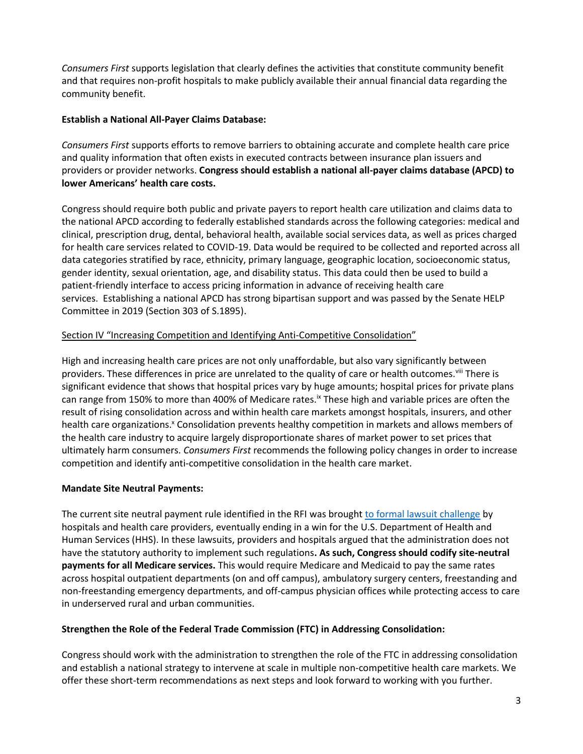*Consumers First* supports legislation that clearly defines the activities that constitute community benefit and that requires non-profit hospitals to make publicly available their annual financial data regarding the community benefit.

### **Establish a National All-Payer Claims Database:**

*Consumers First* supports efforts to remove barriers to obtaining accurate and complete health care price and quality information that often exists in executed contracts between insurance plan issuers and providers or provider networks. **Congress should establish a national all-payer claims database (APCD) to lower Americans' health care costs.**

Congress should require both public and private payers to report health care utilization and claims data to the national APCD according to federally established standards across the following categories: medical and clinical, prescription drug, dental, behavioral health, available social services data, as well as prices charged for health care services related to COVID-19. Data would be required to be collected and reported across all data categories stratified by race, ethnicity, primary language, geographic location, socioeconomic status, gender identity, sexual orientation, age, and disability status. This data could then be used to build a patient-friendly interface to access pricing information in advance of receiving health care services. Establishing a national APCD has strong bipartisan support and was passed by the Senate HELP Committee in 2019 (Section 303 of S.1895).

## Section IV "Increasing Competition and Identifying Anti-Competitive Consolidation"

High and increasing health care prices are not only unaffordable, but also vary significantly between providers. These differences in price are unrelated to the quality of care or health outcomes.<sup>viii</sup> There is significant evidence that shows that hospital prices vary by huge amounts; hospital prices for private plans can range from 150% to more than 400% of Medicare rates.<sup>ix</sup> These high and variable prices are often the result of rising consolidation across and within health care markets amongst hospitals, insurers, and other health care organizations.<sup>x</sup> Consolidation prevents healthy competition in markets and allows members of the health care industry to acquire largely disproportionate shares of market power to set prices that ultimately harm consumers. *Consumers First* recommends the following policy changes in order to increase competition and identify anti-competitive consolidation in the health care market.

#### **Mandate Site Neutral Payments:**

The current site neutral payment rule identified in the RFI was brought to formal lawsuit challenge by hospitals and health care providers, eventually ending in a win for the U.S. Department of Health and Human Services (HHS). In these lawsuits, providers and hospitals argued that the administration does not have the statutory authority to implement such regulations**. As such, Congress should codify site-neutral payments for all Medicare services.** This would require Medicare and Medicaid to pay the same rates across hospital outpatient departments (on and off campus), ambulatory surgery centers, freestanding and non-freestanding emergency departments, and off-campus physician offices while protecting access to care in underserved rural and urban communities.

#### **Strengthen the Role of the Federal Trade Commission (FTC) in Addressing Consolidation:**

Congress should work with the administration to strengthen the role of the FTC in addressing consolidation and establish a national strategy to intervene at scale in multiple non-competitive health care markets. We offer these short-term recommendations as next steps and look forward to working with you further.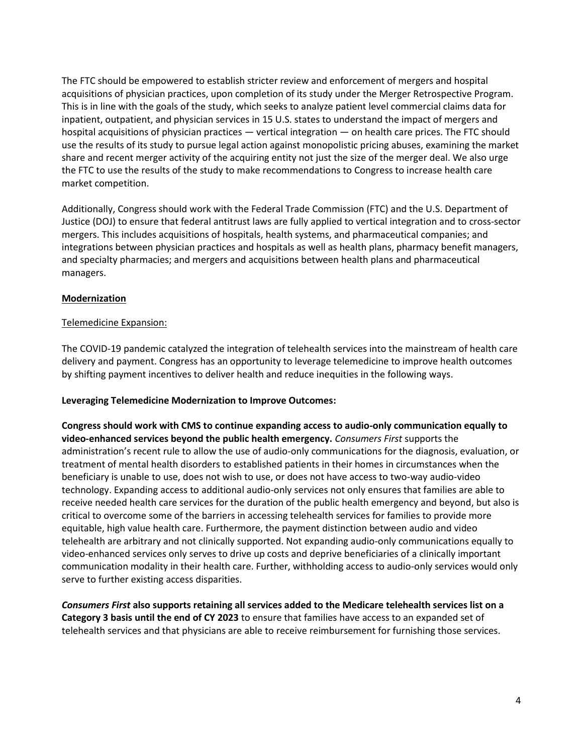The FTC should be empowered to establish stricter review and enforcement of mergers and hospital acquisitions of physician practices, upon completion of its study under the Merger Retrospective Program. This is in line with the goals of the study, which seeks to analyze patient level commercial claims data for inpatient, outpatient, and physician services in 15 U.S. states to understand the impact of mergers and hospital acquisitions of physician practices — vertical integration — on health care prices. The FTC should use the results of its study to pursue legal action against monopolistic pricing abuses, examining the market share and recent merger activity of the acquiring entity not just the size of the merger deal. We also urge the FTC to use the results of the study to make recommendations to Congress to increase health care market competition.

Additionally, Congress should work with the Federal Trade Commission (FTC) and the U.S. Department of Justice (DOJ) to ensure that federal antitrust laws are fully applied to vertical integration and to cross-sector mergers. This includes acquisitions of hospitals, health systems, and pharmaceutical companies; and integrations between physician practices and hospitals as well as health plans, pharmacy benefit managers, and specialty pharmacies; and mergers and acquisitions between health plans and pharmaceutical managers.

## **Modernization**

#### Telemedicine Expansion:

The COVID-19 pandemic catalyzed the integration of telehealth services into the mainstream of health care delivery and payment. Congress has an opportunity to leverage telemedicine to improve health outcomes by shifting payment incentives to deliver health and reduce inequities in the following ways.

#### **Leveraging Telemedicine Modernization to Improve Outcomes:**

**Congress should work with CMS to continue expanding access to audio-only communication equally to video-enhanced services beyond the public health emergency.** *Consumers First* supports the administration's recent rule to allow the use of audio-only communications for the diagnosis, evaluation, or treatment of mental health disorders to established patients in their homes in circumstances when the beneficiary is unable to use, does not wish to use, or does not have access to two-way audio-video technology. Expanding access to additional audio-only services not only ensures that families are able to receive needed health care services for the duration of the public health emergency and beyond, but also is critical to overcome some of the barriers in accessing telehealth services for families to provide more equitable, high value health care. Furthermore, the payment distinction between audio and video telehealth are arbitrary and not clinically supported. Not expanding audio-only communications equally to video-enhanced services only serves to drive up costs and deprive beneficiaries of a clinically important communication modality in their health care. Further, withholding access to audio-only services would only serve to further existing access disparities.

*Consumers First* **also supports retaining all services added to the Medicare telehealth services list on a Category 3 basis until the end of CY 2023** to ensure that families have access to an expanded set of telehealth services and that physicians are able to receive reimbursement for furnishing those services.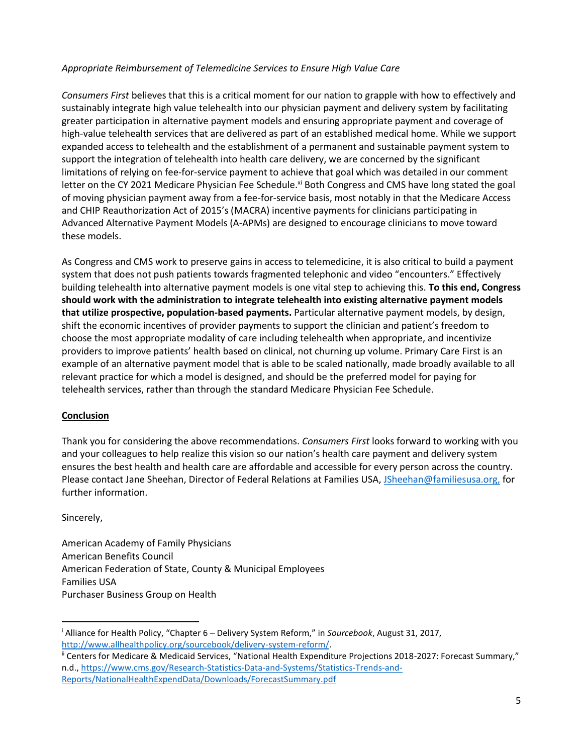# *Appropriate Reimbursement of Telemedicine Services to Ensure High Value Care*

*Consumers First* believes that this is a critical moment for our nation to grapple with how to effectively and sustainably integrate high value telehealth into our physician payment and delivery system by facilitating greater participation in alternative payment models and ensuring appropriate payment and coverage of high-value telehealth services that are delivered as part of an established medical home. While we support expanded access to telehealth and the establishment of a permanent and sustainable payment system to support the integration of telehealth into health care delivery, we are concerned by the significant limitations of relying on fee-for-service payment to achieve that goal which was detailed in our comment letter on the CY 2021 Medicare Physician Fee Schedule.<sup>xi</sup> Both Congress and CMS have long stated the goal of moving physician payment away from a fee-for-service basis, most notably in that the Medicare Access and CHIP Reauthorization Act of 2015's (MACRA) incentive payments for clinicians participating in Advanced Alternative Payment Models (A-APMs) are designed to encourage clinicians to move toward these models.

As Congress and CMS work to preserve gains in access to telemedicine, it is also critical to build a payment system that does not push patients towards fragmented telephonic and video "encounters." Effectively building telehealth into alternative payment models is one vital step to achieving this. **To this end, Congress should work with the administration to integrate telehealth into existing alternative payment models that utilize prospective, population-based payments.** Particular alternative payment models, by design, shift the economic incentives of provider payments to support the clinician and patient's freedom to choose the most appropriate modality of care including telehealth when appropriate, and incentivize providers to improve patients' health based on clinical, not churning up volume. Primary Care First is an example of an alternative payment model that is able to be scaled nationally, made broadly available to all relevant practice for which a model is designed, and should be the preferred model for paying for telehealth services, rather than through the standard Medicare Physician Fee Schedule.

#### **Conclusion**

Thank you for considering the above recommendations. *Consumers First* looks forward to working with you and your colleagues to help realize this vision so our nation's health care payment and delivery system ensures the best health and health care are affordable and accessible for every person across the country. Please contact Jane Sheehan, Director of Federal Relations at Families USA, JSheehan@familiesusa.org, for further information.

Sincerely,

 $\overline{a}$ 

American Academy of Family Physicians American Benefits Council American Federation of State, County & Municipal Employees Families USA Purchaser Business Group on Health

<sup>i</sup> Alliance for Health Policy, "Chapter 6 – Delivery System Reform," in *Sourcebook*, August 31, 2017, http://www.allhealthpolicy.org/sourcebook/delivery-system-reform/.

ii Centers for Medicare & Medicaid Services, "National Health Expenditure Projections 2018-2027: Forecast Summary," n.d., https://www.cms.gov/Research-Statistics-Data-and-Systems/Statistics-Trends-and-Reports/NationalHealthExpendData/Downloads/ForecastSummary.pdf